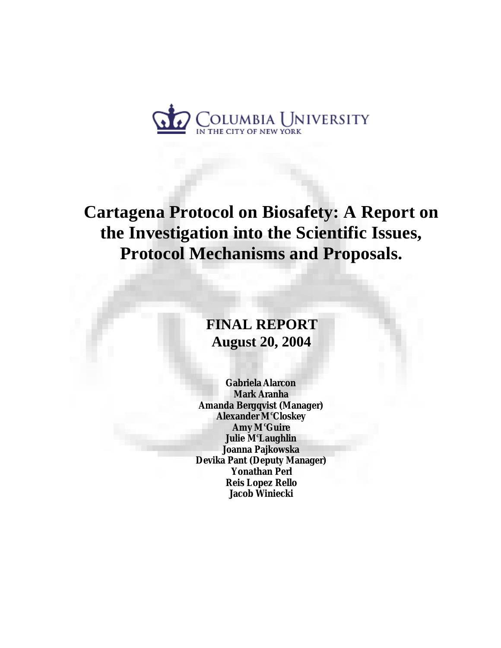

**Cartagena Protocol on Biosafety: A Report on the Investigation into the Scientific Issues, Protocol Mechanisms and Proposals.**

# **FINAL REPORT August 20, 2004**

**Gabriela Alarcon Mark Aranha Amanda Bergqvist (Manager) Alexander M<sup>c</sup>Closkey Amy M<sup>c</sup>Guire Julie M<sup>c</sup>Laughlin Joanna Pajkowska Devika Pant (Deputy Manager) Yonathan Perl Reis Lopez Rello Jacob Winiecki**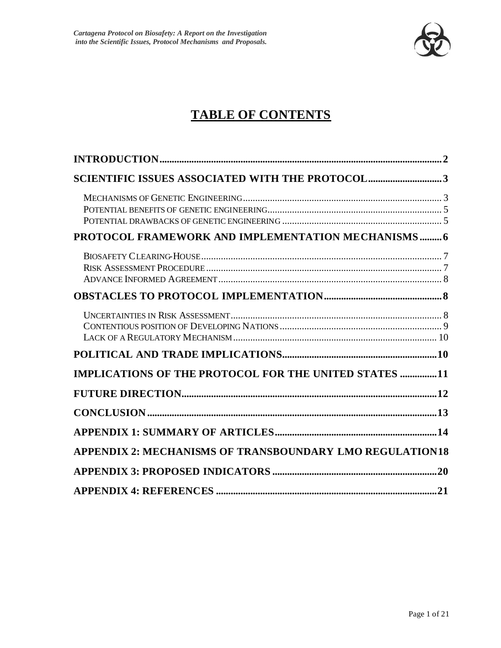

# **TABLE OF CONTENTS**

| SCIENTIFIC ISSUES ASSOCIATED WITH THE PROTOCOL3              |  |
|--------------------------------------------------------------|--|
|                                                              |  |
|                                                              |  |
|                                                              |  |
| PROTOCOL FRAMEWORK AND IMPLEMENTATION MECHANISMS 6           |  |
|                                                              |  |
|                                                              |  |
|                                                              |  |
|                                                              |  |
|                                                              |  |
|                                                              |  |
|                                                              |  |
|                                                              |  |
| <b>IMPLICATIONS OF THE PROTOCOL FOR THE UNITED STATES 11</b> |  |
|                                                              |  |
|                                                              |  |
|                                                              |  |
| APPENDIX 2: MECHANISMS OF TRANSBOUNDARY LMO REGULATION18     |  |
|                                                              |  |
|                                                              |  |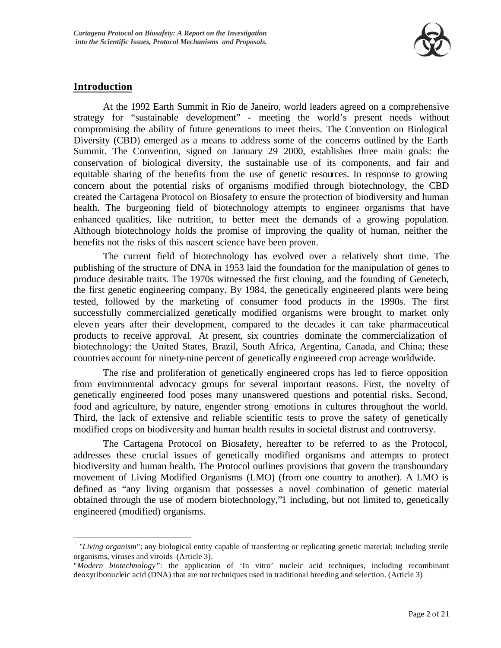

### **Introduction**

 $\overline{a}$ 

At the 1992 Earth Summit in Rio de Janeiro, world leaders agreed on a comprehensive strategy for "sustainable development" - meeting the world's present needs without compromising the ability of future generations to meet theirs. The Convention on Biological Diversity (CBD) emerged as a means to address some of the concerns outlined by the Earth Summit. The Convention, signed on January 29 2000, establishes three main goals: the conservation of biological diversity, the sustainable use of its components, and fair and equitable sharing of the benefits from the use of genetic resources. In response to growing concern about the potential risks of organisms modified through biotechnology, the CBD created the Cartagena Protocol on Biosafety to ensure the protection of biodiversity and human health. The burgeoning field of biotechnology attempts to engineer organisms that have enhanced qualities, like nutrition, to better meet the demands of a growing population. Although biotechnology holds the promise of improving the quality of human, neither the benefits not the risks of this nascent science have been proven.

The current field of biotechnology has evolved over a relatively short time. The publishing of the structure of DNA in 1953 laid the foundation for the manipulation of genes to produce desirable traits. The 1970s witnessed the first cloning, and the founding of Genetech, the first genetic engineering company. By 1984, the genetically engineered plants were being tested, followed by the marketing of consumer food products in the 1990s. The first successfully commercialized genetically modified organisms were brought to market only eleven years after their development, compared to the decades it can take pharmaceutical products to receive approval. At present, six countries dominate the commercialization of biotechnology: the United States, Brazil, South Africa, Argentina, Canada, and China; these countries account for ninety-nine percent of genetically engineered crop acreage worldwide.

The rise and proliferation of genetically engineered crops has led to fierce opposition from environmental advocacy groups for several important reasons. First, the novelty of genetically engineered food poses many unanswered questions and potential risks. Second, food and agriculture, by nature, engender strong emotions in cultures throughout the world. Third, the lack of extensive and reliable scientific tests to prove the safety of genetically modified crops on biodiversity and human health results in societal distrust and controversy.

The Cartagena Protocol on Biosafety, hereafter to be referred to as the Protocol, addresses these crucial issues of genetically modified organisms and attempts to protect biodiversity and human health. The Protocol outlines provisions that govern the transboundary movement of Living Modified Organisms (LMO) (from one country to another). A LMO is defined as "any living organism that possesses a novel combination of genetic material obtained through the use of modern biotechnology,"1 including, but not limited to, genetically engineered (modified) organisms.

<sup>&</sup>lt;sup>1</sup> "Living organism": any biological entity capable of transferring or replicating genetic material; including sterile organisms, viruses and viroids (Article 3).

<sup>&</sup>quot;*Modern biotechnology"*: the application of 'In vitro' nucleic acid techniques, including recombinant deoxyribonucleic acid (DNA) that are not techniques used in traditional breeding and selection. (Article 3)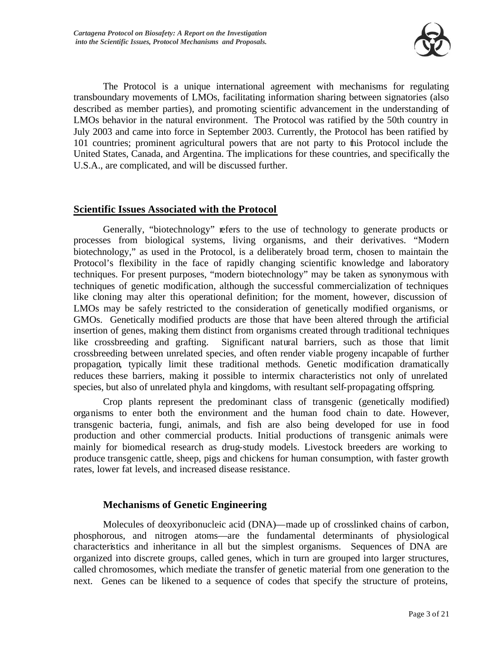

The Protocol is a unique international agreement with mechanisms for regulating transboundary movements of LMOs, facilitating information sharing between signatories (also described as member parties), and promoting scientific advancement in the understanding of LMOs behavior in the natural environment. The Protocol was ratified by the 50th country in July 2003 and came into force in September 2003. Currently, the Protocol has been ratified by 101 countries; prominent agricultural powers that are not party to this Protocol include the United States, Canada, and Argentina. The implications for these countries, and specifically the U.S.A., are complicated, and will be discussed further.

#### **Scientific Issues Associated with the Protocol**

Generally, "biotechnology" refers to the use of technology to generate products or processes from biological systems, living organisms, and their derivatives. "Modern biotechnology," as used in the Protocol, is a deliberately broad term, chosen to maintain the Protocol's flexibility in the face of rapidly changing scientific knowledge and laboratory techniques. For present purposes, "modern biotechnology" may be taken as synonymous with techniques of genetic modification, although the successful commercialization of techniques like cloning may alter this operational definition; for the moment, however, discussion of LMOs may be safely restricted to the consideration of genetically modified organisms, or GMOs. Genetically modified products are those that have been altered through the artificial insertion of genes, making them distinct from organisms created through traditional techniques like crossbreeding and grafting. Significant natural barriers, such as those that limit crossbreeding between unrelated species, and often render viable progeny incapable of further propagation, typically limit these traditional methods. Genetic modification dramatically reduces these barriers, making it possible to intermix characteristics not only of unrelated species, but also of unrelated phyla and kingdoms, with resultant self-propagating offspring.

Crop plants represent the predominant class of transgenic (genetically modified) organisms to enter both the environment and the human food chain to date. However, transgenic bacteria, fungi, animals, and fish are also being developed for use in food production and other commercial products. Initial productions of transgenic animals were mainly for biomedical research as drug-study models. Livestock breeders are working to produce transgenic cattle, sheep, pigs and chickens for human consumption, with faster growth rates, lower fat levels, and increased disease resistance.

#### **Mechanisms of Genetic Engineering**

Molecules of deoxyribonucleic acid (DNA)—made up of crosslinked chains of carbon, phosphorous, and nitrogen atoms—are the fundamental determinants of physiological characteristics and inheritance in all but the simplest organisms. Sequences of DNA are organized into discrete groups, called genes, which in turn are grouped into larger structures, called chromosomes, which mediate the transfer of genetic material from one generation to the next. Genes can be likened to a sequence of codes that specify the structure of proteins,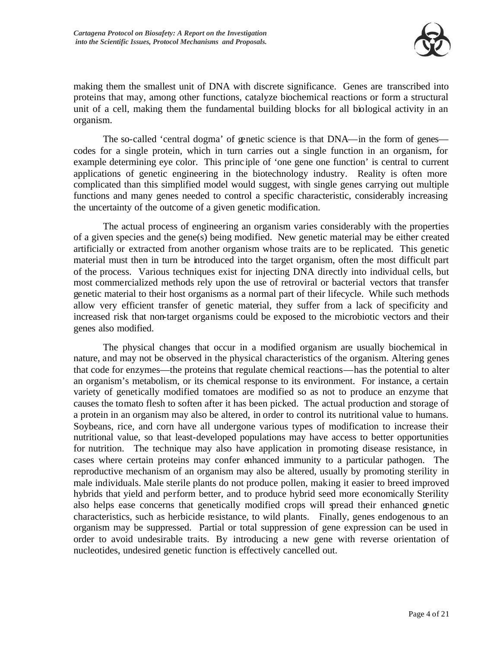

making them the smallest unit of DNA with discrete significance. Genes are transcribed into proteins that may, among other functions, catalyze biochemical reactions or form a structural unit of a cell, making them the fundamental building blocks for all biological activity in an organism.

The so-called 'central dogma' of genetic science is that DNA—in the form of genes codes for a single protein, which in turn carries out a single function in an organism, for example determining eye color. This princ iple of 'one gene one function' is central to current applications of genetic engineering in the biotechnology industry. Reality is often more complicated than this simplified model would suggest, with single genes carrying out multiple functions and many genes needed to control a specific characteristic, considerably increasing the uncertainty of the outcome of a given genetic modification.

The actual process of engineering an organism varies considerably with the properties of a given species and the gene(s) being modified. New genetic material may be either created artificially or extracted from another organism whose traits are to be replicated. This genetic material must then in turn be introduced into the target organism, often the most difficult part of the process. Various techniques exist for injecting DNA directly into individual cells, but most commercialized methods rely upon the use of retroviral or bacterial vectors that transfer genetic material to their host organisms as a normal part of their lifecycle. While such methods allow very efficient transfer of genetic material, they suffer from a lack of specificity and increased risk that non-target organisms could be exposed to the microbiotic vectors and their genes also modified.

The physical changes that occur in a modified organism are usually biochemical in nature, and may not be observed in the physical characteristics of the organism. Altering genes that code for enzymes—the proteins that regulate chemical reactions—has the potential to alter an organism's metabolism, or its chemical response to its environment. For instance, a certain variety of genetically modified tomatoes are modified so as not to produce an enzyme that causes the tomato flesh to soften after it has been picked. The actual production and storage of a protein in an organism may also be altered, in order to control its nutritional value to humans. Soybeans, rice, and corn have all undergone various types of modification to increase their nutritional value, so that least-developed populations may have access to better opportunities for nutrition. The technique may also have application in promoting disease resistance, in cases where certain proteins may confer enhanced immunity to a particular pathogen. The reproductive mechanism of an organism may also be altered, usually by promoting sterility in male individuals. Male sterile plants do not produce pollen, making it easier to breed improved hybrids that yield and perform better, and to produce hybrid seed more economically Sterility also helps ease concerns that genetically modified crops will spread their enhanced genetic characteristics, such as herbicide resistance, to wild plants. Finally, genes endogenous to an organism may be suppressed. Partial or total suppression of gene expression can be used in order to avoid undesirable traits. By introducing a new gene with reverse orientation of nucleotides, undesired genetic function is effectively cancelled out.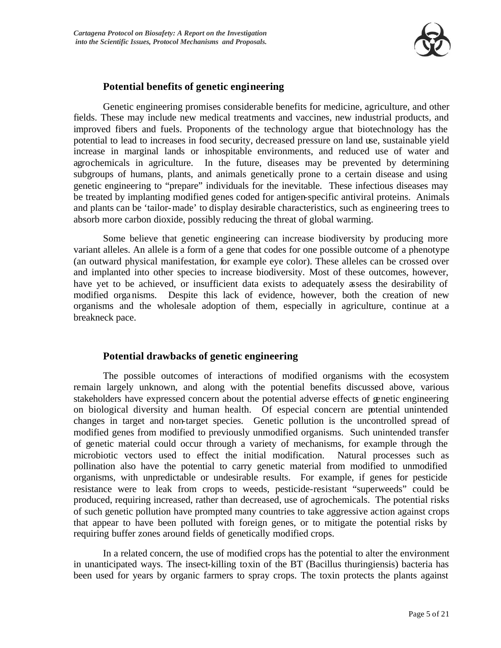

### **Potential benefits of genetic engineering**

Genetic engineering promises considerable benefits for medicine, agriculture, and other fields. These may include new medical treatments and vaccines, new industrial products, and improved fibers and fuels. Proponents of the technology argue that biotechnology has the potential to lead to increases in food security, decreased pressure on land use, sustainable yield increase in marginal lands or inhospitable environments, and reduced use of water and agrochemicals in agriculture. In the future, diseases may be prevented by determining subgroups of humans, plants, and animals genetically prone to a certain disease and using genetic engineering to "prepare" individuals for the inevitable. These infectious diseases may be treated by implanting modified genes coded for antigen-specific antiviral proteins. Animals and plants can be 'tailor-made' to display desirable characteristics, such as engineering trees to absorb more carbon dioxide, possibly reducing the threat of global warming.

Some believe that genetic engineering can increase biodiversity by producing more variant alleles. An allele is a form of a gene that codes for one possible outcome of a phenotype (an outward physical manifestation, for example eye color). These alleles can be crossed over and implanted into other species to increase biodiversity. Most of these outcomes, however, have yet to be achieved, or insufficient data exists to adequately assess the desirability of modified organisms. Despite this lack of evidence, however, both the creation of new organisms and the wholesale adoption of them, especially in agriculture, continue at a breakneck pace.

#### **Potential drawbacks of genetic engineering**

The possible outcomes of interactions of modified organisms with the ecosystem remain largely unknown, and along with the potential benefits discussed above, various stakeholders have expressed concern about the potential adverse effects of genetic engineering on biological diversity and human health. Of especial concern are potential unintended changes in target and non-target species. Genetic pollution is the uncontrolled spread of modified genes from modified to previously unmodified organisms. Such unintended transfer of genetic material could occur through a variety of mechanisms, for example through the microbiotic vectors used to effect the initial modification. Natural processes such as pollination also have the potential to carry genetic material from modified to unmodified organisms, with unpredictable or undesirable results. For example, if genes for pesticide resistance were to leak from crops to weeds, pesticide-resistant "superweeds" could be produced, requiring increased, rather than decreased, use of agrochemicals. The potential risks of such genetic pollution have prompted many countries to take aggressive action against crops that appear to have been polluted with foreign genes, or to mitigate the potential risks by requiring buffer zones around fields of genetically modified crops.

In a related concern, the use of modified crops has the potential to alter the environment in unanticipated ways. The insect-killing toxin of the BT (Bacillus thuringiensis) bacteria has been used for years by organic farmers to spray crops. The toxin protects the plants against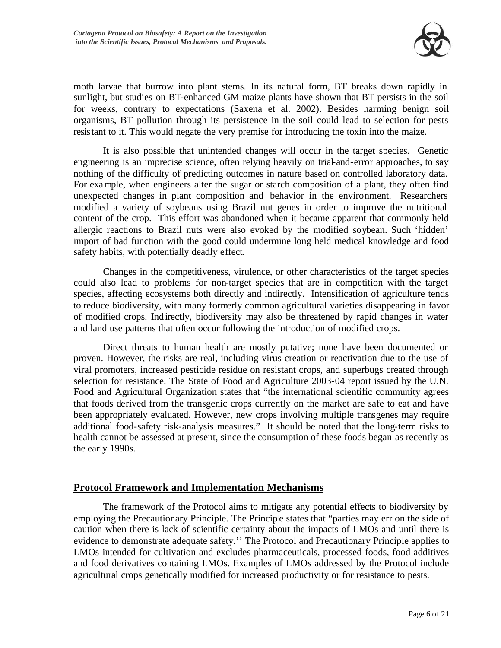

moth larvae that burrow into plant stems. In its natural form, BT breaks down rapidly in sunlight, but studies on BT-enhanced GM maize plants have shown that BT persists in the soil for weeks, contrary to expectations (Saxena et al. 2002). Besides harming benign soil organisms, BT pollution through its persistence in the soil could lead to selection for pests resistant to it. This would negate the very premise for introducing the toxin into the maize.

It is also possible that unintended changes will occur in the target species. Genetic engineering is an imprecise science, often relying heavily on trial-and-error approaches, to say nothing of the difficulty of predicting outcomes in nature based on controlled laboratory data. For example, when engineers alter the sugar or starch composition of a plant, they often find unexpected changes in plant composition and behavior in the environment. Researchers modified a variety of soybeans using Brazil nut genes in order to improve the nutritional content of the crop. This effort was abandoned when it became apparent that commonly held allergic reactions to Brazil nuts were also evoked by the modified soybean. Such 'hidden' import of bad function with the good could undermine long held medical knowledge and food safety habits, with potentially deadly effect.

Changes in the competitiveness, virulence, or other characteristics of the target species could also lead to problems for non-target species that are in competition with the target species, affecting ecosystems both directly and indirectly. Intensification of agriculture tends to reduce biodiversity, with many formerly common agricultural varieties disappearing in favor of modified crops. Indirectly, biodiversity may also be threatened by rapid changes in water and land use patterns that often occur following the introduction of modified crops.

Direct threats to human health are mostly putative; none have been documented or proven. However, the risks are real, including virus creation or reactivation due to the use of viral promoters, increased pesticide residue on resistant crops, and superbugs created through selection for resistance. The State of Food and Agriculture 2003-04 report issued by the U.N. Food and Agricultural Organization states that "the international scientific community agrees that foods derived from the transgenic crops currently on the market are safe to eat and have been appropriately evaluated. However, new crops involving multiple transgenes may require additional food-safety risk-analysis measures." It should be noted that the long-term risks to health cannot be assessed at present, since the consumption of these foods began as recently as the early 1990s.

#### **Protocol Framework and Implementation Mechanisms**

The framework of the Protocol aims to mitigate any potential effects to biodiversity by employing the Precautionary Principle. The Principle states that "parties may err on the side of caution when there is lack of scientific certainty about the impacts of LMOs and until there is evidence to demonstrate adequate safety.'' The Protocol and Precautionary Principle applies to LMOs intended for cultivation and excludes pharmaceuticals, processed foods, food additives and food derivatives containing LMOs. Examples of LMOs addressed by the Protocol include agricultural crops genetically modified for increased productivity or for resistance to pests.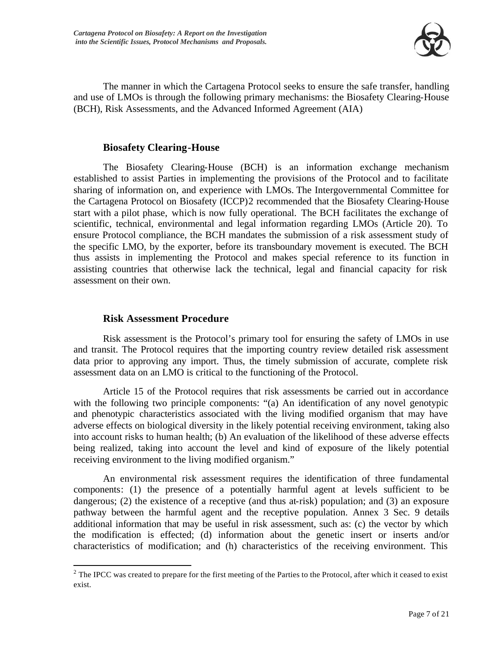

The manner in which the Cartagena Protocol seeks to ensure the safe transfer, handling and use of LMOs is through the following primary mechanisms: the Biosafety Clearing-House (BCH), Risk Assessments, and the Advanced Informed Agreement (AIA)

#### **Biosafety Clearing-House**

The Biosafety Clearing-House (BCH) is an information exchange mechanism established to assist Parties in implementing the provisions of the Protocol and to facilitate sharing of information on, and experience with LMOs. The Intergovernmental Committee for the Cartagena Protocol on Biosafety (ICCP)2 recommended that the Biosafety Clearing-House start with a pilot phase, which is now fully operational. The BCH facilitates the exchange of scientific, technical, environmental and legal information regarding LMOs (Article 20). To ensure Protocol compliance, the BCH mandates the submission of a risk assessment study of the specific LMO, by the exporter, before its transboundary movement is executed. The BCH thus assists in implementing the Protocol and makes special reference to its function in assisting countries that otherwise lack the technical, legal and financial capacity for risk assessment on their own.

#### **Risk Assessment Procedure**

 $\overline{a}$ 

Risk assessment is the Protocol's primary tool for ensuring the safety of LMOs in use and transit. The Protocol requires that the importing country review detailed risk assessment data prior to approving any import. Thus, the timely submission of accurate, complete risk assessment data on an LMO is critical to the functioning of the Protocol.

Article 15 of the Protocol requires that risk assessments be carried out in accordance with the following two principle components: "(a) An identification of any novel genotypic and phenotypic characteristics associated with the living modified organism that may have adverse effects on biological diversity in the likely potential receiving environment, taking also into account risks to human health; (b) An evaluation of the likelihood of these adverse effects being realized, taking into account the level and kind of exposure of the likely potential receiving environment to the living modified organism."

An environmental risk assessment requires the identification of three fundamental components: (1) the presence of a potentially harmful agent at levels sufficient to be dangerous; (2) the existence of a receptive (and thus at-risk) population; and (3) an exposure pathway between the harmful agent and the receptive population. Annex 3 Sec. 9 details additional information that may be useful in risk assessment, such as: (c) the vector by which the modification is effected; (d) information about the genetic insert or inserts and/or characteristics of modification; and (h) characteristics of the receiving environment. This

 $2^2$  The IPCC was created to prepare for the first meeting of the Parties to the Protocol, after which it ceased to exist exist.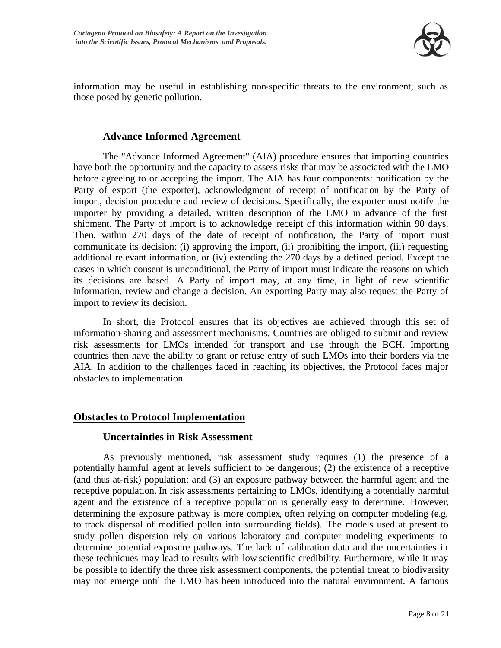

information may be useful in establishing non-specific threats to the environment, such as those posed by genetic pollution.

#### **Advance Informed Agreement**

The "Advance Informed Agreement" (AIA) procedure ensures that importing countries have both the opportunity and the capacity to assess risks that may be associated with the LMO before agreeing to or accepting the import. The AIA has four components: notification by the Party of export (the exporter), acknowledgment of receipt of notification by the Party of import, decision procedure and review of decisions. Specifically, the exporter must notify the importer by providing a detailed, written description of the LMO in advance of the first shipment. The Party of import is to acknowledge receipt of this information within 90 days. Then, within 270 days of the date of receipt of notification, the Party of import must communicate its decision: (i) approving the import, (ii) prohibiting the import, (iii) requesting additional relevant informa tion, or (iv) extending the 270 days by a defined period. Except the cases in which consent is unconditional, the Party of import must indicate the reasons on which its decisions are based. A Party of import may, at any time, in light of new scientific information, review and change a decision. An exporting Party may also request the Party of import to review its decision.

In short, the Protocol ensures that its objectives are achieved through this set of information-sharing and assessment mechanisms. Countries are obliged to submit and review risk assessments for LMOs intended for transport and use through the BCH. Importing countries then have the ability to grant or refuse entry of such LMOs into their borders via the AIA. In addition to the challenges faced in reaching its objectives, the Protocol faces major obstacles to implementation.

#### **Obstacles to Protocol Implementation**

#### **Uncertainties in Risk Assessment**

As previously mentioned, risk assessment study requires (1) the presence of a potentially harmful agent at levels sufficient to be dangerous; (2) the existence of a receptive (and thus at-risk) population; and (3) an exposure pathway between the harmful agent and the receptive population. In risk assessments pertaining to LMOs, identifying a potentially harmful agent and the existence of a receptive population is generally easy to determine. However, determining the exposure pathway is more complex, often relying on computer modeling (e.g. to track dispersal of modified pollen into surrounding fields). The models used at present to study pollen dispersion rely on various laboratory and computer modeling experiments to determine potential exposure pathways. The lack of calibration data and the uncertainties in these techniques may lead to results with low scientific credibility. Furthermore, while it may be possible to identify the three risk assessment components, the potential threat to biodiversity may not emerge until the LMO has been introduced into the natural environment. A famous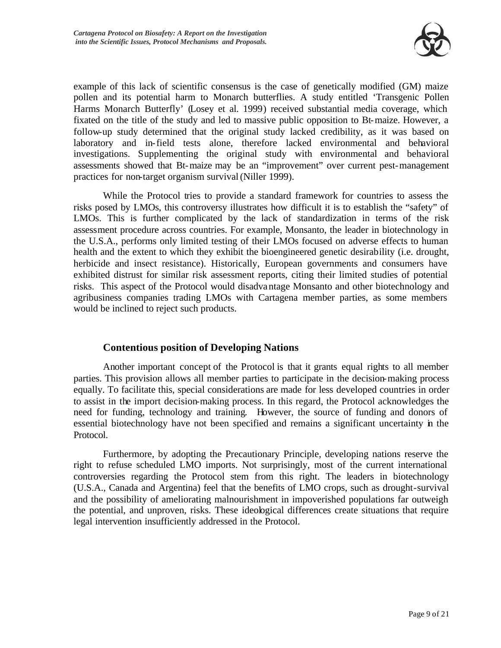

example of this lack of scientific consensus is the case of genetically modified (GM) maize pollen and its potential harm to Monarch butterflies. A study entitled 'Transgenic Pollen Harms Monarch Butterfly' (Losey et al. 1999) received substantial media coverage, which fixated on the title of the study and led to massive public opposition to Bt-maize. However, a follow-up study determined that the original study lacked credibility, as it was based on laboratory and in-field tests alone, therefore lacked environmental and behavioral investigations. Supplementing the original study with environmental and behavioral assessments showed that Bt-maize may be an "improvement" over current pest-management practices for non-target organism survival (Niller 1999).

While the Protocol tries to provide a standard framework for countries to assess the risks posed by LMOs, this controversy illustrates how difficult it is to establish the "safety" of LMOs. This is further complicated by the lack of standardization in terms of the risk assessment procedure across countries. For example, Monsanto, the leader in biotechnology in the U.S.A., performs only limited testing of their LMOs focused on adverse effects to human health and the extent to which they exhibit the bioengineered genetic desirability (i.e. drought, herbicide and insect resistance). Historically, European governments and consumers have exhibited distrust for similar risk assessment reports, citing their limited studies of potential risks. This aspect of the Protocol would disadvantage Monsanto and other biotechnology and agribusiness companies trading LMOs with Cartagena member parties, as some members would be inclined to reject such products.

#### **Contentious position of Developing Nations**

Another important concept of the Protocol is that it grants equal rights to all member parties. This provision allows all member parties to participate in the decision-making process equally. To facilitate this, special considerations are made for less developed countries in order to assist in the import decision-making process. In this regard, the Protocol acknowledges the need for funding, technology and training. However, the source of funding and donors of essential biotechnology have not been specified and remains a significant uncertainty in the Protocol.

Furthermore, by adopting the Precautionary Principle, developing nations reserve the right to refuse scheduled LMO imports. Not surprisingly, most of the current international controversies regarding the Protocol stem from this right. The leaders in biotechnology (U.S.A., Canada and Argentina) feel that the benefits of LMO crops, such as drought-survival and the possibility of ameliorating malnourishment in impoverished populations far outweigh the potential, and unproven, risks. These ideological differences create situations that require legal intervention insufficiently addressed in the Protocol.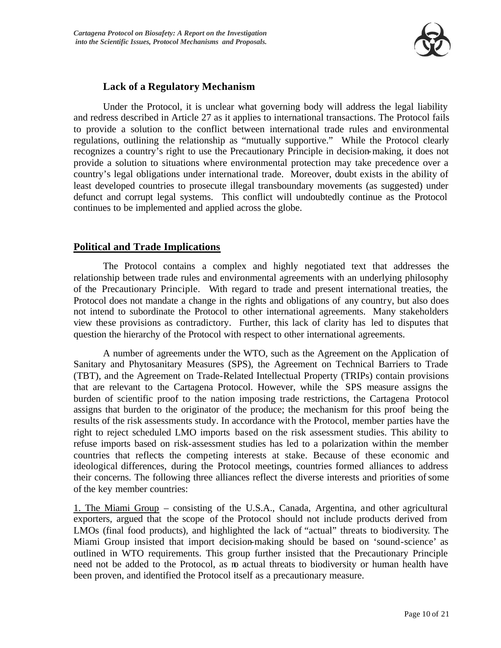

#### **Lack of a Regulatory Mechanism**

Under the Protocol, it is unclear what governing body will address the legal liability and redress described in Article 27 as it applies to international transactions. The Protocol fails to provide a solution to the conflict between international trade rules and environmental regulations, outlining the relationship as "mutually supportive." While the Protocol clearly recognizes a country's right to use the Precautionary Principle in decision-making, it does not provide a solution to situations where environmental protection may take precedence over a country's legal obligations under international trade. Moreover, doubt exists in the ability of least developed countries to prosecute illegal transboundary movements (as suggested) under defunct and corrupt legal systems. This conflict will undoubtedly continue as the Protocol continues to be implemented and applied across the globe.

#### **Political and Trade Implications**

The Protocol contains a complex and highly negotiated text that addresses the relationship between trade rules and environmental agreements with an underlying philosophy of the Precautionary Principle. With regard to trade and present international treaties, the Protocol does not mandate a change in the rights and obligations of any country, but also does not intend to subordinate the Protocol to other international agreements. Many stakeholders view these provisions as contradictory. Further, this lack of clarity has led to disputes that question the hierarchy of the Protocol with respect to other international agreements.

A number of agreements under the WTO, such as the Agreement on the Application of Sanitary and Phytosanitary Measures (SPS), the Agreement on Technical Barriers to Trade (TBT), and the Agreement on Trade-Related Intellectual Property (TRIPs) contain provisions that are relevant to the Cartagena Protocol. However, while the SPS measure assigns the burden of scientific proof to the nation imposing trade restrictions, the Cartagena Protocol assigns that burden to the originator of the produce; the mechanism for this proof being the results of the risk assessments study. In accordance with the Protocol, member parties have the right to reject scheduled LMO imports based on the risk assessment studies. This ability to refuse imports based on risk-assessment studies has led to a polarization within the member countries that reflects the competing interests at stake. Because of these economic and ideological differences, during the Protocol meetings, countries formed alliances to address their concerns. The following three alliances reflect the diverse interests and priorities of some of the key member countries:

1. The Miami Group – consisting of the U.S.A., Canada, Argentina, and other agricultural exporters, argued that the scope of the Protocol should not include products derived from LMOs (final food products), and highlighted the lack of "actual" threats to biodiversity. The Miami Group insisted that import decision-making should be based on 'sound-science' as outlined in WTO requirements. This group further insisted that the Precautionary Principle need not be added to the Protocol, as no actual threats to biodiversity or human health have been proven, and identified the Protocol itself as a precautionary measure.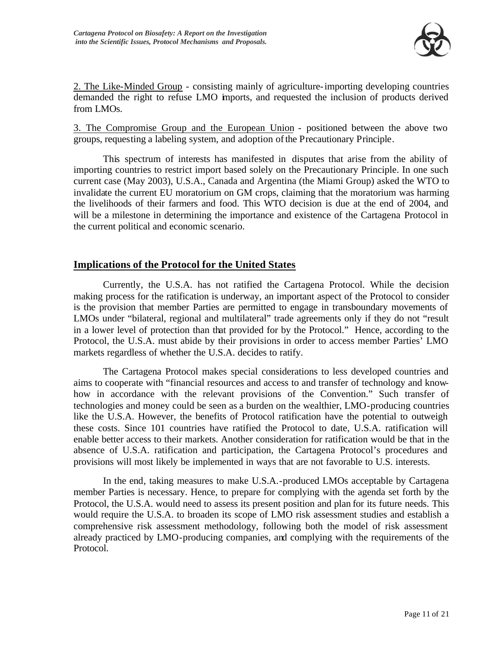

2. The Like-Minded Group - consisting mainly of agriculture-importing developing countries demanded the right to refuse LMO imports, and requested the inclusion of products derived from LMOs.

3. The Compromise Group and the European Union - positioned between the above two groups, requesting a labeling system, and adoption of the Precautionary Principle.

This spectrum of interests has manifested in disputes that arise from the ability of importing countries to restrict import based solely on the Precautionary Principle. In one such current case (May 2003), U.S.A., Canada and Argentina (the Miami Group) asked the WTO to invalidate the current EU moratorium on GM crops, claiming that the moratorium was harming the livelihoods of their farmers and food. This WTO decision is due at the end of 2004, and will be a milestone in determining the importance and existence of the Cartagena Protocol in the current political and economic scenario.

#### **Implications of the Protocol for the United States**

Currently, the U.S.A. has not ratified the Cartagena Protocol. While the decision making process for the ratification is underway, an important aspect of the Protocol to consider is the provision that member Parties are permitted to engage in transboundary movements of LMOs under "bilateral, regional and multilateral" trade agreements only if they do not "result in a lower level of protection than that provided for by the Protocol." Hence, according to the Protocol, the U.S.A. must abide by their provisions in order to access member Parties' LMO markets regardless of whether the U.S.A. decides to ratify.

The Cartagena Protocol makes special considerations to less developed countries and aims to cooperate with "financial resources and access to and transfer of technology and knowhow in accordance with the relevant provisions of the Convention." Such transfer of technologies and money could be seen as a burden on the wealthier, LMO-producing countries like the U.S.A. However, the benefits of Protocol ratification have the potential to outweigh these costs. Since 101 countries have ratified the Protocol to date, U.S.A. ratification will enable better access to their markets. Another consideration for ratification would be that in the absence of U.S.A. ratification and participation, the Cartagena Protocol's procedures and provisions will most likely be implemented in ways that are not favorable to U.S. interests.

In the end, taking measures to make U.S.A.-produced LMOs acceptable by Cartagena member Parties is necessary. Hence, to prepare for complying with the agenda set forth by the Protocol, the U.S.A. would need to assess its present position and plan for its future needs. This would require the U.S.A. to broaden its scope of LMO risk assessment studies and establish a comprehensive risk assessment methodology, following both the model of risk assessment already practiced by LMO-producing companies, and complying with the requirements of the Protocol.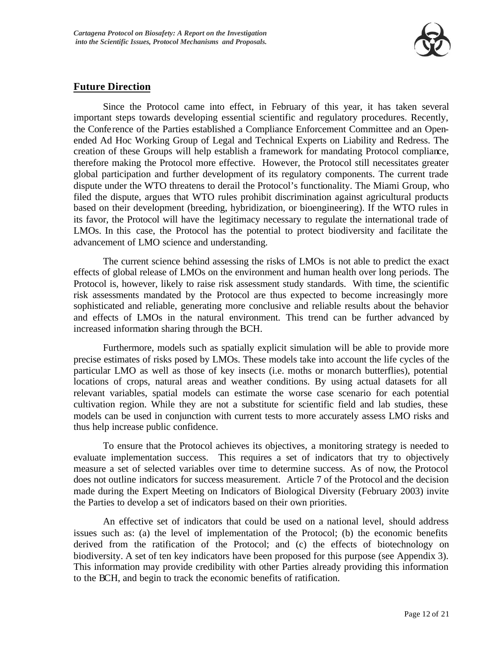

# **Future Direction**

Since the Protocol came into effect, in February of this year, it has taken several important steps towards developing essential scientific and regulatory procedures. Recently, the Conference of the Parties established a Compliance Enforcement Committee and an Openended Ad Hoc Working Group of Legal and Technical Experts on Liability and Redress. The creation of these Groups will help establish a framework for mandating Protocol compliance, therefore making the Protocol more effective. However, the Protocol still necessitates greater global participation and further development of its regulatory components. The current trade dispute under the WTO threatens to derail the Protocol's functionality. The Miami Group, who filed the dispute, argues that WTO rules prohibit discrimination against agricultural products based on their development (breeding, hybridization, or bioengineering). If the WTO rules in its favor, the Protocol will have the legitimacy necessary to regulate the international trade of LMOs. In this case, the Protocol has the potential to protect biodiversity and facilitate the advancement of LMO science and understanding.

The current science behind assessing the risks of LMOs is not able to predict the exact effects of global release of LMOs on the environment and human health over long periods. The Protocol is, however, likely to raise risk assessment study standards. With time, the scientific risk assessments mandated by the Protocol are thus expected to become increasingly more sophisticated and reliable, generating more conclusive and reliable results about the behavior and effects of LMOs in the natural environment. This trend can be further advanced by increased information sharing through the BCH.

Furthermore, models such as spatially explicit simulation will be able to provide more precise estimates of risks posed by LMOs. These models take into account the life cycles of the particular LMO as well as those of key insects (i.e. moths or monarch butterflies), potential locations of crops, natural areas and weather conditions. By using actual datasets for all relevant variables, spatial models can estimate the worse case scenario for each potential cultivation region. While they are not a substitute for scientific field and lab studies, these models can be used in conjunction with current tests to more accurately assess LMO risks and thus help increase public confidence.

To ensure that the Protocol achieves its objectives, a monitoring strategy is needed to evaluate implementation success. This requires a set of indicators that try to objectively measure a set of selected variables over time to determine success. As of now, the Protocol does not outline indicators for success measurement. Article 7 of the Protocol and the decision made during the Expert Meeting on Indicators of Biological Diversity (February 2003) invite the Parties to develop a set of indicators based on their own priorities.

An effective set of indicators that could be used on a national level, should address issues such as: (a) the level of implementation of the Protocol; (b) the economic benefits derived from the ratification of the Protocol; and (c) the effects of biotechnology on biodiversity. A set of ten key indicators have been proposed for this purpose (see Appendix 3). This information may provide credibility with other Parties already providing this information to the BCH, and begin to track the economic benefits of ratification.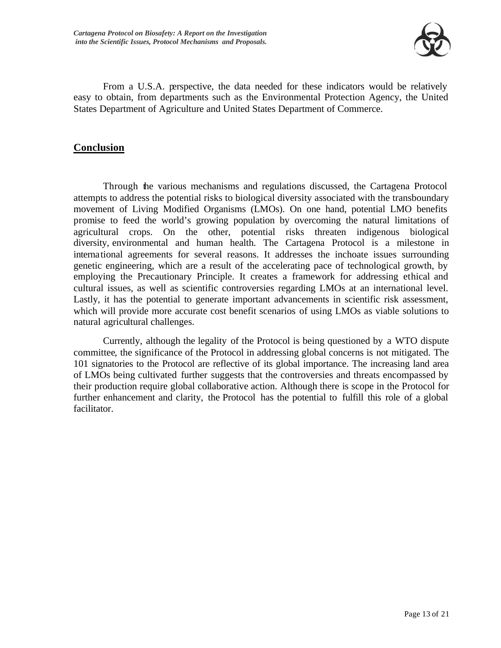

From a U.S.A. perspective, the data needed for these indicators would be relatively easy to obtain, from departments such as the Environmental Protection Agency, the United States Department of Agriculture and United States Department of Commerce.

#### **Conclusion**

Through the various mechanisms and regulations discussed, the Cartagena Protocol attempts to address the potential risks to biological diversity associated with the transboundary movement of Living Modified Organisms (LMOs). On one hand, potential LMO benefits promise to feed the world's growing population by overcoming the natural limitations of agricultural crops. On the other, potential risks threaten indigenous biological diversity, environmental and human health. The Cartagena Protocol is a milestone in international agreements for several reasons. It addresses the inchoate issues surrounding genetic engineering, which are a result of the accelerating pace of technological growth, by employing the Precautionary Principle. It creates a framework for addressing ethical and cultural issues, as well as scientific controversies regarding LMOs at an international level. Lastly, it has the potential to generate important advancements in scientific risk assessment, which will provide more accurate cost benefit scenarios of using LMOs as viable solutions to natural agricultural challenges.

Currently, although the legality of the Protocol is being questioned by a WTO dispute committee, the significance of the Protocol in addressing global concerns is not mitigated. The 101 signatories to the Protocol are reflective of its global importance. The increasing land area of LMOs being cultivated further suggests that the controversies and threats encompassed by their production require global collaborative action. Although there is scope in the Protocol for further enhancement and clarity, the Protocol has the potential to fulfill this role of a global facilitator.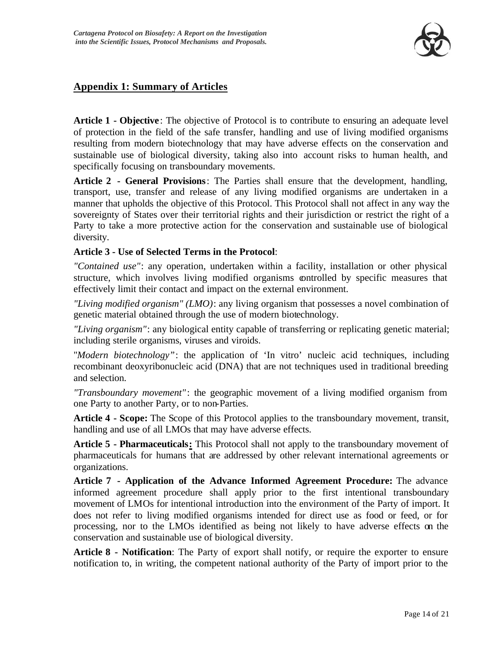

# **Appendix 1: Summary of Articles**

Article 1 - Objective: The objective of Protocol is to contribute to ensuring an adequate level of protection in the field of the safe transfer, handling and use of living modified organisms resulting from modern biotechnology that may have adverse effects on the conservation and sustainable use of biological diversity, taking also into account risks to human health, and specifically focusing on transboundary movements.

**Article 2 - General Provisions**: The Parties shall ensure that the development, handling, transport, use, transfer and release of any living modified organisms are undertaken in a manner that upholds the objective of this Protocol. This Protocol shall not affect in any way the sovereignty of States over their territorial rights and their jurisdiction or restrict the right of a Party to take a more protective action for the conservation and sustainable use of biological diversity.

#### **Article 3 - Use of Selected Terms in the Protocol**:

*"Contained use"*: any operation, undertaken within a facility, installation or other physical structure, which involves living modified organisms controlled by specific measures that effectively limit their contact and impact on the external environment.

*"Living modified organism" (LMO)*: any living organism that possesses a novel combination of genetic material obtained through the use of modern biotechnology.

*"Living organism"*: any biological entity capable of transferring or replicating genetic material; including sterile organisms, viruses and viroids.

"*Modern biotechnology"*: the application of 'In vitro' nucleic acid techniques, including recombinant deoxyribonucleic acid (DNA) that are not techniques used in traditional breeding and selection.

*"Transboundary movement"* : the geographic movement of a living modified organism from one Party to another Party, or to non-Parties.

**Article 4 - Scope:** The Scope of this Protocol applies to the transboundary movement, transit, handling and use of all LMOs that may have adverse effects.

**Article 5 - Pharmaceuticals:** This Protocol shall not apply to the transboundary movement of pharmaceuticals for humans that are addressed by other relevant international agreements or organizations.

**Article 7 - Application of the Advance Informed Agreement Procedure:** The advance informed agreement procedure shall apply prior to the first intentional transboundary movement of LMOs for intentional introduction into the environment of the Party of import. It does not refer to living modified organisms intended for direct use as food or feed, or for processing, nor to the LMOs identified as being not likely to have adverse effects on the conservation and sustainable use of biological diversity.

**Article 8 - Notification**: The Party of export shall notify, or require the exporter to ensure notification to, in writing, the competent national authority of the Party of import prior to the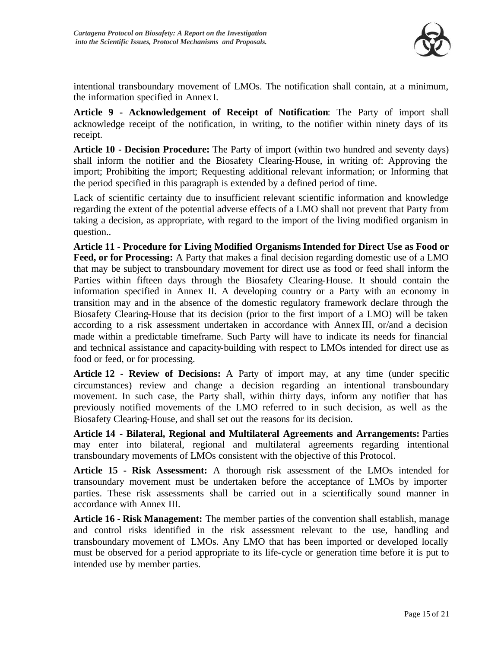

intentional transboundary movement of LMOs. The notification shall contain, at a minimum, the information specified in AnnexI.

**Article 9 - Acknowledgement of Receipt of Notification**: The Party of import shall acknowledge receipt of the notification, in writing, to the notifier within ninety days of its receipt.

**Article 10 - Decision Procedure:** The Party of import (within two hundred and seventy days) shall inform the notifier and the Biosafety Clearing-House, in writing of: Approving the import; Prohibiting the import; Requesting additional relevant information; or Informing that the period specified in this paragraph is extended by a defined period of time.

Lack of scientific certainty due to insufficient relevant scientific information and knowledge regarding the extent of the potential adverse effects of a LMO shall not prevent that Party from taking a decision, as appropriate, with regard to the import of the living modified organism in question..

**Article 11 - Procedure for Living Modified Organisms Intended for Direct Use as Food or Feed, or for Processing:** A Party that makes a final decision regarding domestic use of a LMO that may be subject to transboundary movement for direct use as food or feed shall inform the Parties within fifteen days through the Biosafety Clearing-House. It should contain the information specified in Annex II. A developing country or a Party with an economy in transition may and in the absence of the domestic regulatory framework declare through the Biosafety Clearing-House that its decision (prior to the first import of a LMO) will be taken according to a risk assessment undertaken in accordance with Annex III, or/and a decision made within a predictable timeframe. Such Party will have to indicate its needs for financial and technical assistance and capacity-building with respect to LMOs intended for direct use as food or feed, or for processing.

**Article 12 - Review of Decisions:** A Party of import may, at any time (under specific circumstances) review and change a decision regarding an intentional transboundary movement. In such case, the Party shall, within thirty days, inform any notifier that has previously notified movements of the LMO referred to in such decision, as well as the Biosafety Clearing-House, and shall set out the reasons for its decision.

**Article 14 - Bilateral, Regional and Multilateral Agreements and Arrangements:** Parties may enter into bilateral, regional and multilateral agreements regarding intentional transboundary movements of LMOs consistent with the objective of this Protocol.

**Article 15 - Risk Assessment:** A thorough risk assessment of the LMOs intended for transoundary movement must be undertaken before the acceptance of LMOs by importer parties. These risk assessments shall be carried out in a scientifically sound manner in accordance with Annex III.

**Article 16 - Risk Management:** The member parties of the convention shall establish, manage and control risks identified in the risk assessment relevant to the use, handling and transboundary movement of LMOs. Any LMO that has been imported or developed locally must be observed for a period appropriate to its life-cycle or generation time before it is put to intended use by member parties.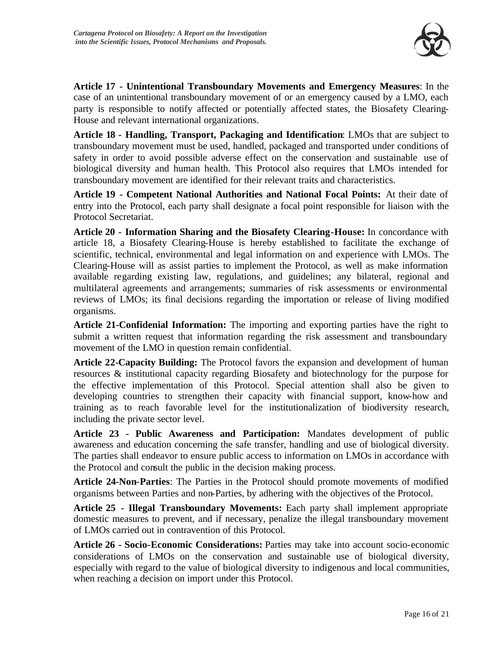

**Article 17 - Unintentional Transboundary Movements and Emergency Measures**: In the case of an unintentional transboundary movement of or an emergency caused by a LMO, each party is responsible to notify affected or potentially affected states, the Biosafety Clearing-House and relevant international organizations.

**Article 18 - Handling, Transport, Packaging and Identification**: LMOs that are subject to transboundary movement must be used, handled, packaged and transported under conditions of safety in order to avoid possible adverse effect on the conservation and sustainable use of biological diversity and human health. This Protocol also requires that LMOs intended for transboundary movement are identified for their relevant traits and characteristics.

**Article 19 - Competent National Authorities and National Focal Points:** At their date of entry into the Protocol, each party shall designate a focal point responsible for liaison with the Protocol Secretariat.

**Article 20 - Information Sharing and the Biosafety Clearing-House:** In concordance with article 18, a Biosafety Clearing-House is hereby established to facilitate the exchange of scientific, technical, environmental and legal information on and experience with LMOs. The Clearing-House will as assist parties to implement the Protocol, as well as make information available regarding existing law, regulations, and guidelines; any bilateral, regional and multilateral agreements and arrangements; summaries of risk assessments or environmental reviews of LMOs; its final decisions regarding the importation or release of living modified organisms.

**Article 21-Confidenial Information:** The importing and exporting parties have the right to submit a written request that information regarding the risk assessment and transboundary movement of the LMO in question remain confidential.

**Article 22-Capacity Building:** The Protocol favors the expansion and development of human resources & institutional capacity regarding Biosafety and biotechnology for the purpose for the effective implementation of this Protocol. Special attention shall also be given to developing countries to strengthen their capacity with financial support, know-how and training as to reach favorable level for the institutionalization of biodiversity research, including the private sector level.

**Article 23 - Public Awareness and Participation:** Mandates development of public awareness and education concerning the safe transfer, handling and use of biological diversity. The parties shall endeavor to ensure public access to information on LMOs in accordance with the Protocol and consult the public in the decision making process.

**Article 24-Non-Parties**: The Parties in the Protocol should promote movements of modified organisms between Parties and non-Parties, by adhering with the objectives of the Protocol.

**Article 25 - Illegal Transboundary Movements:** Each party shall implement appropriate domestic measures to prevent, and if necessary, penalize the illegal transboundary movement of LMOs carried out in contravention of this Protocol.

**Article 26 - Socio-Economic Considerations:** Parties may take into account socio-economic considerations of LMOs on the conservation and sustainable use of biological diversity, especially with regard to the value of biological diversity to indigenous and local communities, when reaching a decision on import under this Protocol.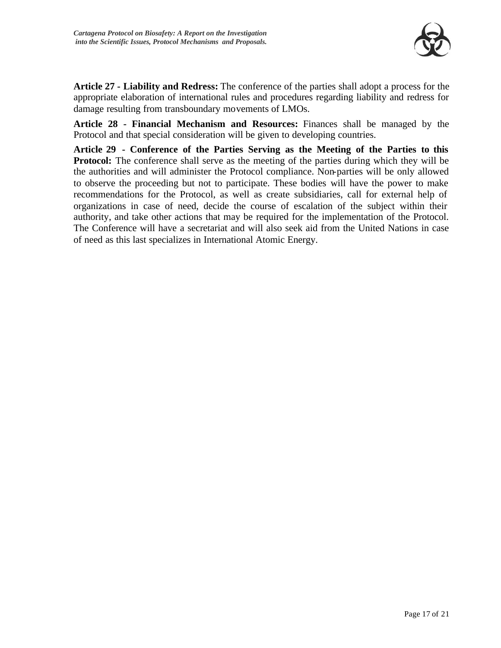

**Article 27 - Liability and Redress:** The conference of the parties shall adopt a process for the appropriate elaboration of international rules and procedures regarding liability and redress for damage resulting from transboundary movements of LMOs.

**Article 28 - Financial Mechanism and Resources:** Finances shall be managed by the Protocol and that special consideration will be given to developing countries.

**Article 29 - Conference of the Parties Serving as the Meeting of the Parties to this Protocol:** The conference shall serve as the meeting of the parties during which they will be the authorities and will administer the Protocol compliance. Non-parties will be only allowed to observe the proceeding but not to participate. These bodies will have the power to make recommendations for the Protocol, as well as create subsidiaries, call for external help of organizations in case of need, decide the course of escalation of the subject within their authority, and take other actions that may be required for the implementation of the Protocol. The Conference will have a secretariat and will also seek aid from the United Nations in case of need as this last specializes in International Atomic Energy.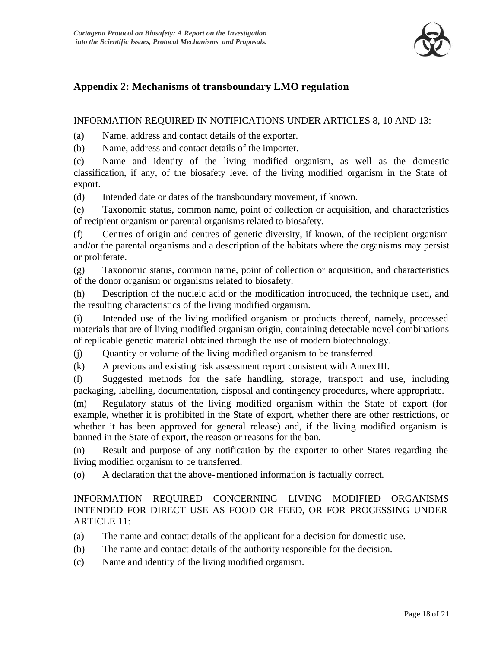

# **Appendix 2: Mechanisms of transboundary LMO regulation**

INFORMATION REQUIRED IN NOTIFICATIONS UNDER ARTICLES 8, 10 AND 13:

(a) Name, address and contact details of the exporter.

(b) Name, address and contact details of the importer.

(c) Name and identity of the living modified organism, as well as the domestic classification, if any, of the biosafety level of the living modified organism in the State of export.

(d) Intended date or dates of the transboundary movement, if known.

(e) Taxonomic status, common name, point of collection or acquisition, and characteristics of recipient organism or parental organisms related to biosafety.

(f) Centres of origin and centres of genetic diversity, if known, of the recipient organism and/or the parental organisms and a description of the habitats where the organisms may persist or proliferate.

(g) Taxonomic status, common name, point of collection or acquisition, and characteristics of the donor organism or organisms related to biosafety.

(h) Description of the nucleic acid or the modification introduced, the technique used, and the resulting characteristics of the living modified organism.

(i) Intended use of the living modified organism or products thereof, namely, processed materials that are of living modified organism origin, containing detectable novel combinations of replicable genetic material obtained through the use of modern biotechnology.

(j) Quantity or volume of the living modified organism to be transferred.

(k) A previous and existing risk assessment report consistent with AnnexIII.

(l) Suggested methods for the safe handling, storage, transport and use, including packaging, labelling, documentation, disposal and contingency procedures, where appropriate.

(m) Regulatory status of the living modified organism within the State of export (for example, whether it is prohibited in the State of export, whether there are other restrictions, or whether it has been approved for general release) and, if the living modified organism is banned in the State of export, the reason or reasons for the ban.

(n) Result and purpose of any notification by the exporter to other States regarding the living modified organism to be transferred.

(o) A declaration that the above-mentioned information is factually correct.

#### INFORMATION REQUIRED CONCERNING LIVING MODIFIED ORGANISMS INTENDED FOR DIRECT USE AS FOOD OR FEED, OR FOR PROCESSING UNDER ARTICLE 11:

- (a) The name and contact details of the applicant for a decision for domestic use.
- (b) The name and contact details of the authority responsible for the decision.
- (c) Name and identity of the living modified organism.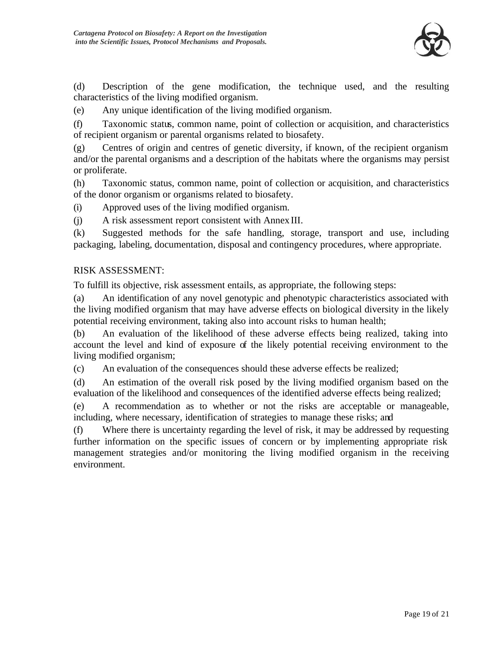

(d) Description of the gene modification, the technique used, and the resulting characteristics of the living modified organism.

(e) Any unique identification of the living modified organism.

(f) Taxonomic status, common name, point of collection or acquisition, and characteristics of recipient organism or parental organisms related to biosafety.

(g) Centres of origin and centres of genetic diversity, if known, of the recipient organism and/or the parental organisms and a description of the habitats where the organisms may persist or proliferate.

(h) Taxonomic status, common name, point of collection or acquisition, and characteristics of the donor organism or organisms related to biosafety.

(i) Approved uses of the living modified organism.

(j) A risk assessment report consistent with AnnexIII.

(k) Suggested methods for the safe handling, storage, transport and use, including packaging, labeling, documentation, disposal and contingency procedures, where appropriate.

#### RISK ASSESSMENT:

To fulfill its objective, risk assessment entails, as appropriate, the following steps:

(a) An identification of any novel genotypic and phenotypic characteristics associated with the living modified organism that may have adverse effects on biological diversity in the likely potential receiving environment, taking also into account risks to human health;

(b) An evaluation of the likelihood of these adverse effects being realized, taking into account the level and kind of exposure of the likely potential receiving environment to the living modified organism;

(c) An evaluation of the consequences should these adverse effects be realized;

(d) An estimation of the overall risk posed by the living modified organism based on the evaluation of the likelihood and consequences of the identified adverse effects being realized;

(e) A recommendation as to whether or not the risks are acceptable or manageable, including, where necessary, identification of strategies to manage these risks; and

(f) Where there is uncertainty regarding the level of risk, it may be addressed by requesting further information on the specific issues of concern or by implementing appropriate risk management strategies and/or monitoring the living modified organism in the receiving environment.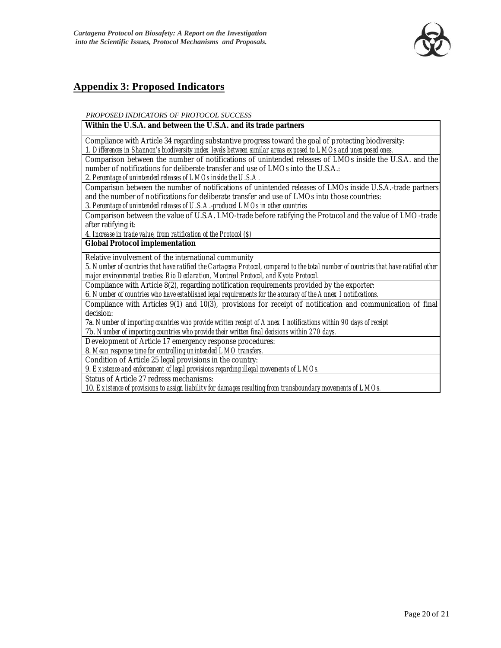

# **Appendix 3: Proposed Indicators**

 *PROPOSED INDICATORS OF PROTOCOL SUCCESS*

#### **Within the U.S.A. and between the U.S.A. and its trade partners**

Compliance with Article 34 regarding substantive progress toward the goal of protecting biodiversity: 1*. Differences in Shannon's biodiversity index levels between similar areas exposed to LMOs and unexposed ones.*

Comparison between the number of notifications of unintended releases of LMOs inside the U.S.A. and the number of notifications for deliberate transfer and use of LMOs into the U.S.A.:

2. *Percentage of unintended releases of LMOs inside the U.S.A.*

Comparison between the number of notifications of unintended releases of LMOs inside U.S.A.-trade partners and the number of notifications for deliberate transfer and use of LMOs into those countries:

3. *Percentage of unintended releases of U.S.A.-produced LMOs in other countries*

Comparison between the value of U.S.A. LMO-trade before ratifying the Protocol and the value of LMO-trade after ratifying it:

4. *Increase in trade value, from ratification of the Protocol (\$)*

#### **Global Protocol implementation**

Relative involvement of the international community

5. *Number of countries that have ratified the Cartagena Protocol, compared to the total number of countries that have ratified other major environmental treaties: Rio Declaration, Montreal Protocol, and Kyoto Protocol.*

Compliance with Article 8(2), regarding notification requirements provided by the exporter:

6. *Number of countries who have established legal requirements for the accuracy of the Annex I notifications.*

Compliance with Articles 9(1) and 10(3), provisions for receipt of notification and communication of final decision:

7a. *Number of importing countries who provide written receipt of Annex I notifications within 90 days of receipt*

7b. *Number of importing countries who provide their written final decisions within 270 days.*

Development of Article 17 emergency response procedures:

8. *Mean response time for controlling unintended LMO transfers.*

Condition of Article 25 legal provisions in the country:

9. *Existence and enforcement of legal provisions regarding illegal movements of LMOs.*

Status of Article 27 redress mechanisms:

10. *Existence of provisions to assign liability for damages resulting from transboundary movements of LMOs.*